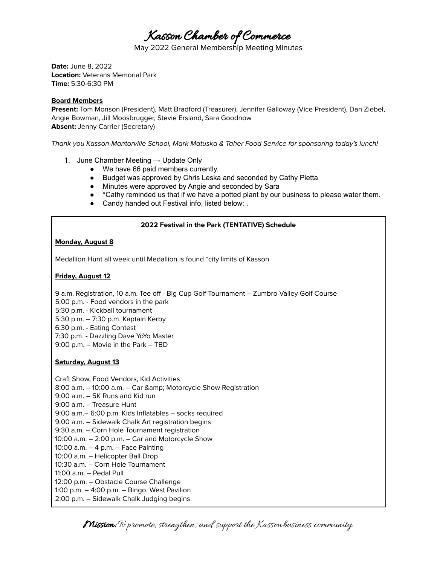Kasson Chamber of Commerce

May 2022 General Membership Meeting Minutes

**Date:** June 8, 2022 **Location:** Veterans Memorial Park **Time:** 5:30-6:30 PM

#### **Board Members**

**Present:** Tom Monson (President), Matt Bradford (Treasurer), Jennifer Galloway (Vice President), Dan Ziebel, Angie Bowman, Jill Moosbrugger, Stevie Ersland, Sara Goodnow **Absent:** Jenny Carrier (Secretary)

Thank you Kasson-Mantorville School, Mark Matuska & Taher Food Service for sponsoring today's lunch!

- 1. June Chamber Meeting  $\rightarrow$  Update Only
	- We have 66 paid members currently.
	- Budget was approved by Chris Leska and seconded by Cathy Pletta
	- Minutes were approved by Angie and seconded by Sara
	- \*Cathy reminded us that if we have a potted plant by our business to please water them.
	- Candy handed out Festival info, listed below: .

# **2022 Festival in the Park (TENTATIVE) Schedule**

#### **Monday, August 8**

Medallion Hunt all week until Medallion is found \*city limits of Kasson

## **Friday, August 12**

9 a.m. Registration, 10 a.m. Tee off - Big Cup Golf Tournament – Zumbro Valley Golf Course

- 5:00 p.m. Food vendors in the park
- 5:30 p.m. Kickball tournament
- 5:30 p.m. 7:30 p.m. Kaptain Kerby
- 6:30 p.m. Eating Contest

7:30 p.m. - Dazzling Dave YoYo Master

9:00 p.m. – Movie in the Park – TBD

## **Saturday, August 13**

Craft Show, Food Vendors, Kid Activities 8:00 a.m. - 10:00 a.m. - Car & amp; Motorcycle Show Registration 9:00 a.m. – 5K Runs and Kid run 9:00 a.m. – Treasure Hunt 9:00 a.m.– 6:00 p.m. Kids Inflatables – socks required 9:00 a.m. – Sidewalk Chalk Art registration begins 9:30 a.m. – Corn Hole Tournament registration 10:00 a.m. – 2:00 p.m. – Car and Motorcycle Show 10:00 a.m. – 4 p.m. – Face Painting 10:00 a.m. – Helicopter Ball Drop 10:30 a.m. – Corn Hole Tournament 11:00 a.m. – Pedal Pull 12:00 p.m. – Obstacle Course Challenge 1:00 p.m. – 4:00 p.m. – Bingo, West Pavilion 2:00 p.m. – Sidewalk Chalk Judging begins

**Mission:** To promote, strengthen, and support the Kassonbusiness community.